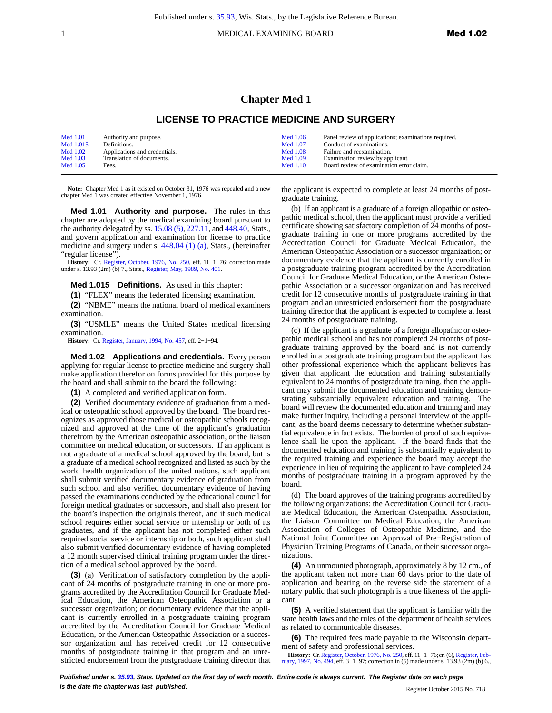1 **1 MEDICAL EXAMINING BOARD Med 1.02** 

## **Chapter Med 1**

## **LICENSE TO PRACTICE MEDICINE AND SURGERY**

| <b>Med 1.01</b> | Authority and purpose.        | Med 1.06   | Panel review of applications; examinations required. |
|-----------------|-------------------------------|------------|------------------------------------------------------|
| Med 1.015       | Definitions.                  | Med 1.07   | Conduct of examinations.                             |
| Med $1.02$      | Applications and credentials. | Med $1.08$ | Failure and reexamination.                           |
| Med $1.03$      | Translation of documents.     | Med 1.09   | Examination review by applicant.                     |
| Med 1.05        | Fees.                         | Med $1.10$ | Board review of examination error claim.             |

**Note:** Chapter Med 1 as it existed on October 31, 1976 was repealed and a new chapter Med 1 was created effective November 1, 1976.

**Med 1.01 Authority and purpose.** The rules in this chapter are adopted by the medical examining board pursuant to the authority delegated by ss. [15.08 \(5\)](http://docs.legis.wisconsin.gov/document/statutes/15.08(5)), [227.11,](http://docs.legis.wisconsin.gov/document/statutes/227.11) and [448.40](http://docs.legis.wisconsin.gov/document/statutes/448.40), Stats., and govern application and examination for license to practice medicine and surgery under s. [448.04 \(1\) \(a\),](http://docs.legis.wisconsin.gov/document/statutes/448.04(1)(a)) Stats., (hereinafter "regular license").

**History:** Cr. [Register, October, 1976, No. 250,](http://docs.legis.wisconsin.gov/document/register/250/b/toc) eff. 11−1−76; correction made under s. 13.93 (2m) (b) 7., Stats., [Register, May, 1989, No. 401.](http://docs.legis.wisconsin.gov/document/register/401/b/toc)

**Med 1.015 Definitions.** As used in this chapter:

**(1)** "FLEX" means the federated licensing examination.

**(2)** "NBME" means the national board of medical examiners examination.

**(3)** "USMLE" means the United States medical licensing examination.

**History:** Cr. [Register, January, 1994, No. 457](http://docs.legis.wisconsin.gov/document/register/457/b/toc), eff. 2−1−94.

**Med 1.02 Applications and credentials.** Every person applying for regular license to practice medicine and surgery shall make application therefor on forms provided for this purpose by the board and shall submit to the board the following:

**(1)** A completed and verified application form.

**(2)** Verified documentary evidence of graduation from a medical or osteopathic school approved by the board. The board recognizes as approved those medical or osteopathic schools recognized and approved at the time of the applicant's graduation therefrom by the American osteopathic association, or the liaison committee on medical education, or successors. If an applicant is not a graduate of a medical school approved by the board, but is a graduate of a medical school recognized and listed as such by the world health organization of the united nations, such applicant shall submit verified documentary evidence of graduation from such school and also verified documentary evidence of having passed the examinations conducted by the educational council for foreign medical graduates or successors, and shall also present for the board's inspection the originals thereof, and if such medical school requires either social service or internship or both of its graduates, and if the applicant has not completed either such required social service or internship or both, such applicant shall also submit verified documentary evidence of having completed a 12 month supervised clinical training program under the direction of a medical school approved by the board.

**(3)** (a) Verification of satisfactory completion by the applicant of 24 months of postgraduate training in one or more programs accredited by the Accreditation Council for Graduate Medical Education, the American Osteopathic Association or a successor organization; or documentary evidence that the applicant is currently enrolled in a postgraduate training program accredited by the Accreditation Council for Graduate Medical Education, or the American Osteopathic Association or a successor organization and has received credit for 12 consecutive months of postgraduate training in that program and an unrestricted endorsement from the postgraduate training director that the applicant is expected to complete at least 24 months of postgraduate training.

(b) If an applicant is a graduate of a foreign allopathic or osteopathic medical school, then the applicant must provide a verified certificate showing satisfactory completion of 24 months of postgraduate training in one or more programs accredited by the Accreditation Council for Graduate Medical Education, the American Osteopathic Association or a successor organization; or documentary evidence that the applicant is currently enrolled in a postgraduate training program accredited by the Accreditation Council for Graduate Medical Education, or the American Osteopathic Association or a successor organization and has received credit for 12 consecutive months of postgraduate training in that program and an unrestricted endorsement from the postgraduate training director that the applicant is expected to complete at least 24 months of postgraduate training.

(c) If the applicant is a graduate of a foreign allopathic or osteopathic medical school and has not completed 24 months of postgraduate training approved by the board and is not currently enrolled in a postgraduate training program but the applicant has other professional experience which the applicant believes has given that applicant the education and training substantially equivalent to 24 months of postgraduate training, then the applicant may submit the documented education and training demonstrating substantially equivalent education and training. The board will review the documented education and training and may make further inquiry, including a personal interview of the applicant, as the board deems necessary to determine whether substantial equivalence in fact exists. The burden of proof of such equivalence shall lie upon the applicant. If the board finds that the documented education and training is substantially equivalent to the required training and experience the board may accept the experience in lieu of requiring the applicant to have completed 24 months of postgraduate training in a program approved by the board.

(d) The board approves of the training programs accredited by the following organizations: the Accreditation Council for Graduate Medical Education, the American Osteopathic Association, the Liaison Committee on Medical Education, the American Association of Colleges of Osteopathic Medicine, and the National Joint Committee on Approval of Pre−Registration of Physician Training Programs of Canada, or their successor organizations.

**(4)** An unmounted photograph, approximately 8 by 12 cm., of the applicant taken not more than 60 days prior to the date of application and bearing on the reverse side the statement of a notary public that such photograph is a true likeness of the applicant.

**(5)** A verified statement that the applicant is familiar with the state health laws and the rules of the department of health services as related to communicable diseases.

**(6)** The required fees made payable to the Wisconsin department of safety and professional services.

**History:** Cr. [Register, October, 1976, No. 250](http://docs.legis.wisconsin.gov/document/register/250/b/toc), eff. 11–1–76;cr. (6), Register, Feb-<br>[ruary, 1997, No. 494,](http://docs.legis.wisconsin.gov/document/register/494/b/toc) eff. 3–1–97; correction in (5) made under s. 13.93 (2m) (b) 6.,

**Published under s. [35.93,](http://docs.legis.wisconsin.gov/document/statutes/35.93) Stats. Updated on the first day of each month. Entire code is always current. The Register date on each page is the date the chapter was last published. is the date the chapter was last published.** Register October 2015 No. 718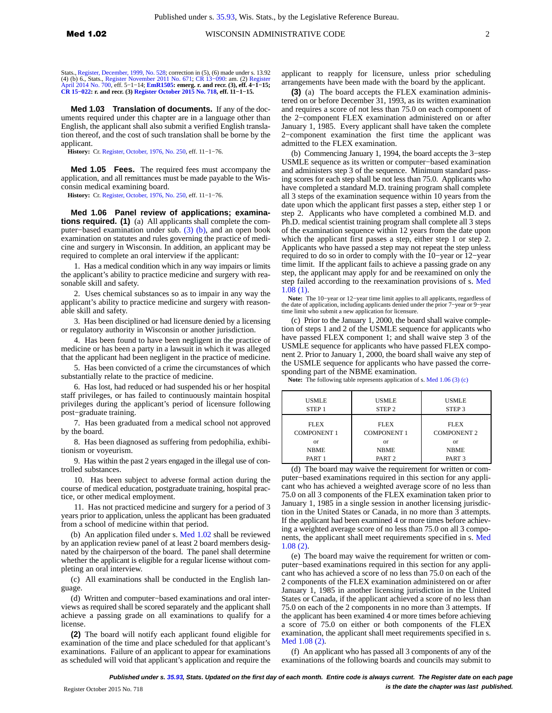Stats., [Register, December, 1999, No. 528;](http://docs.legis.wisconsin.gov/document/register/528/b/toc) correction in (5), (6) made under s. 13.92<br>(4) (b) 6., Stats., [Register November 2011 No. 671](http://docs.legis.wisconsin.gov/document/register/671/b/toc); CR 13–090: am. (2) [Register](http://docs.legis.wisconsin.gov/document/register/700/b/toc)<br>[April 2014 No. 700](http://docs.legis.wisconsin.gov/document/register/700/b/toc), eff. 5–1–14; [EmR1505](http://docs.legis.wisconsin.gov/document/emergencyrules/EmR1505): emerg. r. and **[CR 15−022:](http://docs.legis.wisconsin.gov/document/cr/2015/22) r. and recr. (3) [Register October 2015 No. 718](http://docs.legis.wisconsin.gov/document/register/718/b/toc), eff. 11−1−15.**

**Med 1.03 Translation of documents.** If any of the documents required under this chapter are in a language other than English, the applicant shall also submit a verified English translation thereof, and the cost of such translation shall be borne by the applicant.

**History:** Cr. [Register, October, 1976, No. 250](http://docs.legis.wisconsin.gov/document/register/250/b/toc), eff. 11−1−76.

**Med 1.05 Fees.** The required fees must accompany the application, and all remittances must be made payable to the Wisconsin medical examining board.

**History:** Cr. [Register, October, 1976, No. 250](http://docs.legis.wisconsin.gov/document/register/250/b/toc), eff. 11−1−76.

**Med 1.06 Panel review of applications; examinations required. (1)** (a) All applicants shall complete the computer−based examination under sub. [\(3\) \(b\)](http://docs.legis.wisconsin.gov/document/administrativecode/Med%201.06(3)(b)), and an open book examination on statutes and rules governing the practice of medicine and surgery in Wisconsin. In addition, an applicant may be required to complete an oral interview if the applicant:

1. Has a medical condition which in any way impairs or limits the applicant's ability to practice medicine and surgery with reasonable skill and safety.

2. Uses chemical substances so as to impair in any way the applicant's ability to practice medicine and surgery with reasonable skill and safety.

3. Has been disciplined or had licensure denied by a licensing or regulatory authority in Wisconsin or another jurisdiction.

4. Has been found to have been negligent in the practice of medicine or has been a party in a lawsuit in which it was alleged that the applicant had been negligent in the practice of medicine.

5. Has been convicted of a crime the circumstances of which substantially relate to the practice of medicine.

6. Has lost, had reduced or had suspended his or her hospital staff privileges, or has failed to continuously maintain hospital privileges during the applicant's period of licensure following post−graduate training.

7. Has been graduated from a medical school not approved by the board.

8. Has been diagnosed as suffering from pedophilia, exhibitionism or voyeurism.

9. Has within the past 2 years engaged in the illegal use of controlled substances.

10. Has been subject to adverse formal action during the course of medical education, postgraduate training, hospital practice, or other medical employment.

11. Has not practiced medicine and surgery for a period of 3 years prior to application, unless the applicant has been graduated from a school of medicine within that period.

(b) An application filed under s. [Med 1.02](http://docs.legis.wisconsin.gov/document/administrativecode/Med%201.02) shall be reviewed by an application review panel of at least 2 board members designated by the chairperson of the board. The panel shall determine whether the applicant is eligible for a regular license without completing an oral interview.

(c) All examinations shall be conducted in the English language.

(d) Written and computer−based examinations and oral interviews as required shall be scored separately and the applicant shall achieve a passing grade on all examinations to qualify for a license.

**(2)** The board will notify each applicant found eligible for examination of the time and place scheduled for that applicant's examinations. Failure of an applicant to appear for examinations as scheduled will void that applicant's application and require the applicant to reapply for licensure, unless prior scheduling arrangements have been made with the board by the applicant.

**(3)** (a) The board accepts the FLEX examination administered on or before December 31, 1993, as its written examination and requires a score of not less than 75.0 on each component of the 2−component FLEX examination administered on or after January 1, 1985. Every applicant shall have taken the complete 2−component examination the first time the applicant was admitted to the FLEX examination.

(b) Commencing January 1, 1994, the board accepts the 3−step USMLE sequence as its written or computer−based examination and administers step 3 of the sequence. Minimum standard passing scores for each step shall be not less than 75.0. Applicants who have completed a standard M.D. training program shall complete all 3 steps of the examination sequence within 10 years from the date upon which the applicant first passes a step, either step 1 or step 2. Applicants who have completed a combined M.D. and Ph.D. medical scientist training program shall complete all 3 steps of the examination sequence within 12 years from the date upon which the applicant first passes a step, either step 1 or step 2. Applicants who have passed a step may not repeat the step unless required to do so in order to comply with the 10−year or 12−year time limit. If the applicant fails to achieve a passing grade on any step, the applicant may apply for and be reexamined on only the step failed according to the reexamination provisions of s. [Med](http://docs.legis.wisconsin.gov/document/administrativecode/Med%201.08(1)) [1.08 \(1\)](http://docs.legis.wisconsin.gov/document/administrativecode/Med%201.08(1)).

**Note:** The 10−year or 12−year time limit applies to all applicants, regardless of the date of application, including applicants denied under the prior 7−year or 9−year time limit who submit a new application for licensure.

(c) Prior to the January 1, 2000, the board shall waive completion of steps 1 and 2 of the USMLE sequence for applicants who have passed FLEX component 1; and shall waive step 3 of the USMLE sequence for applicants who have passed FLEX component 2. Prior to January 1, 2000, the board shall waive any step of the USMLE sequence for applicants who have passed the corresponding part of the NBME examination.

**Note:** The following table represents application of s. [Med 1.06 \(3\) \(c\)](http://docs.legis.wisconsin.gov/document/administrativecode/Med%201.06(3)(c))

| <b>USMLE</b>       | <b>USMLE</b>       | <b>USMLE</b>       |
|--------------------|--------------------|--------------------|
| STEP <sub>1</sub>  | STEP <sub>2</sub>  | STEP <sub>3</sub>  |
| <b>FLEX</b>        | <b>FLEX</b>        | <b>FLEX</b>        |
| <b>COMPONENT 1</b> | <b>COMPONENT 1</b> | <b>COMPONENT 2</b> |
| <b>or</b>          | or                 | <b>or</b>          |
| <b>NBME</b>        | <b>NBME</b>        | <b>NBME</b>        |
| PART 1             | PART <sub>2</sub>  | PART <sub>3</sub>  |

(d) The board may waive the requirement for written or computer−based examinations required in this section for any applicant who has achieved a weighted average score of no less than 75.0 on all 3 components of the FLEX examination taken prior to January 1, 1985 in a single session in another licensing jurisdiction in the United States or Canada, in no more than 3 attempts. If the applicant had been examined 4 or more times before achieving a weighted average score of no less than 75.0 on all 3 components, the applicant shall meet requirements specified in s. [Med](http://docs.legis.wisconsin.gov/document/administrativecode/Med%201.08(2)) [1.08 \(2\)](http://docs.legis.wisconsin.gov/document/administrativecode/Med%201.08(2)).

(e) The board may waive the requirement for written or computer−based examinations required in this section for any applicant who has achieved a score of no less than 75.0 on each of the 2 components of the FLEX examination administered on or after January 1, 1985 in another licensing jurisdiction in the United States or Canada, if the applicant achieved a score of no less than 75.0 on each of the 2 components in no more than 3 attempts. If the applicant has been examined 4 or more times before achieving a score of 75.0 on either or both components of the FLEX examination, the applicant shall meet requirements specified in s. [Med 1.08 \(2\).](http://docs.legis.wisconsin.gov/document/administrativecode/Med%201.08(2))

(f) An applicant who has passed all 3 components of any of the examinations of the following boards and councils may submit to

**Published under s. [35.93,](http://docs.legis.wisconsin.gov/document/statutes/35.93) Stats. Updated on the first day of each month. Entire code is always current. The Register date on each page is the date the chapter was last published.** In the comparation of the chapter was last published.